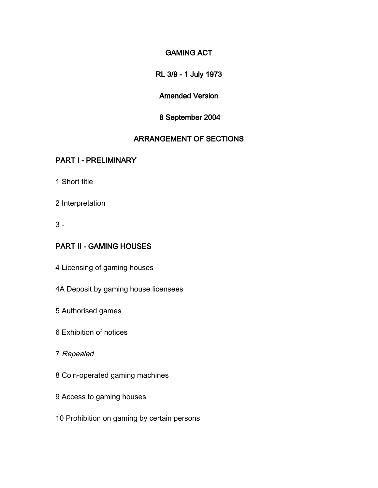### GAMING ACT

RL 3/9 - 1 July 1973

### Amended Version

### 8 September 2004

### ARRANGEMENT OF SECTIONS

### PART I - PRELIMINARY

1 Short title

- 2 Interpretation
- 3 -

### PART II - GAMING HOUSES

- 4 Licensing of gaming houses
- 4A Deposit by gaming house licensees
- 5 Authorised games
- 6 Exhibition of notices
- 7 Repealed
- 8 Coin-operated gaming machines
- 9 Access to gaming houses
- 10 Prohibition on gaming by certain persons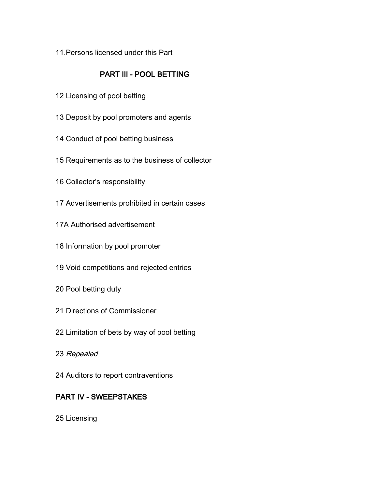11.Persons licensed under this Part

## PART III - POOL BETTING

- Licensing of pool betting
- Deposit by pool promoters and agents
- Conduct of pool betting business
- Requirements as to the business of collector
- Collector's responsibility
- Advertisements prohibited in certain cases
- 17A Authorised advertisement
- Information by pool promoter
- Void competitions and rejected entries
- Pool betting duty
- Directions of Commissioner
- Limitation of bets by way of pool betting
- Repealed
- Auditors to report contraventions

## PART IV - SWEEPSTAKES

Licensing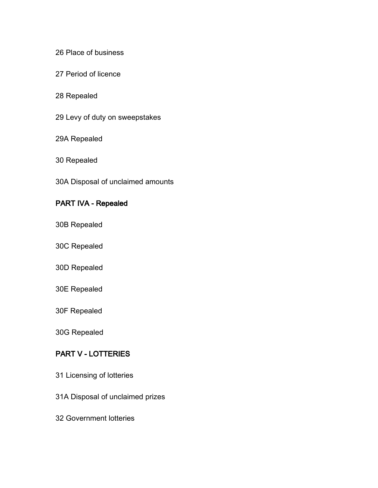#### 26 Place of business

27 Period of licence

### 28 Repealed

29 Levy of duty on sweepstakes

#### 29A Repealed

30 Repealed

30A Disposal of unclaimed amounts

### PART IVA - Repealed

- 30B Repealed
- 30C Repealed
- 30D Repealed
- 30E Repealed
- 30F Repealed

30G Repealed

### PART V - LOTTERIES

- 31 Licensing of lotteries
- 31A Disposal of unclaimed prizes
- 32 Government lotteries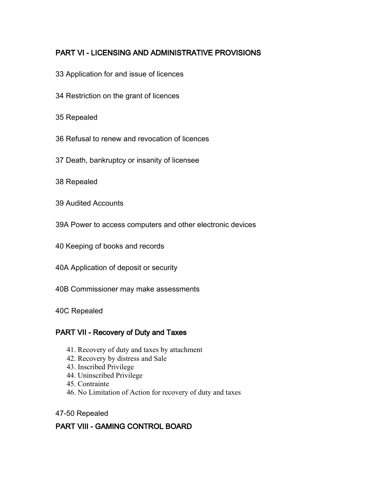## PART VI - LICENSING AND ADMINISTRATIVE PROVISIONS

- 33 Application for and issue of licences
- 34 Restriction on the grant of licences
- 35 Repealed
- 36 Refusal to renew and revocation of licences
- 37 Death, bankruptcy or insanity of licensee
- 38 Repealed
- 39 Audited Accounts
- 39A Power to access computers and other electronic devices
- 40 Keeping of books and records
- 40A Application of deposit or security
- 40B Commissioner may make assessments
- 40C Repealed

#### PART VII - Recovery of Duty and Taxes

- 41. Recovery of duty and taxes by attachment
- 42. Recovery by distress and Sale
- 43. Inscribed Privilege
- 44. Uninscribed Privilege
- 45. Contrainte
- 46. No Limitation of Action for recovery of duty and taxes
- 47-50 Repealed

### PART VIII - GAMING CONTROL BOARD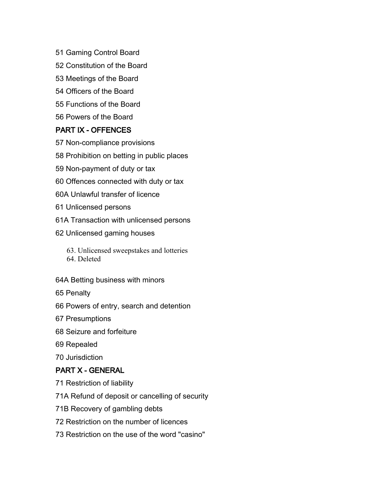- Gaming Control Board
- Constitution of the Board
- Meetings of the Board
- Officers of the Board
- Functions of the Board
- Powers of the Board

#### PART IX - OFFENCES

- Non-compliance provisions
- Prohibition on betting in public places
- Non-payment of duty or tax
- Offences connected with duty or tax
- 60A Unlawful transfer of licence
- Unlicensed persons
- 61A Transaction with unlicensed persons
- Unlicensed gaming houses
	- 63. Unlicensed sweepstakes and lotteries 64. Deleted
	-
- 64A Betting business with minors
- Penalty
- Powers of entry, search and detention
- Presumptions
- Seizure and forfeiture
- Repealed
- Jurisdiction

## PART X - GENERAL

- Restriction of liability
- 71A Refund of deposit or cancelling of security
- 71B Recovery of gambling debts
- Restriction on the number of licences
- Restriction on the use of the word "casino"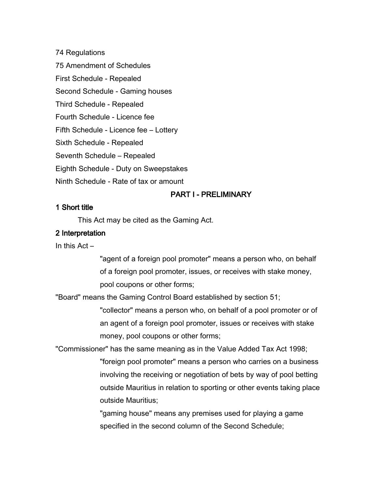74 Regulations 75 Amendment of Schedules First Schedule - Repealed Second Schedule - Gaming houses Third Schedule - Repealed Fourth Schedule - Licence fee Fifth Schedule - Licence fee – Lottery Sixth Schedule - Repealed Seventh Schedule – Repealed Eighth Schedule - Duty on Sweepstakes Ninth Schedule - Rate of tax or amount

### PART I - PRELIMINARY

#### 1 Short title

This Act may be cited as the Gaming Act.

#### 2 Interpretation

In this Act –

"agent of a foreign pool promoter" means a person who, on behalf of a foreign pool promoter, issues, or receives with stake money, pool coupons or other forms;

"Board" means the Gaming Control Board established by section 51;

"collector" means a person who, on behalf of a pool promoter or of an agent of a foreign pool promoter, issues or receives with stake money, pool coupons or other forms;

"Commissioner" has the same meaning as in the Value Added Tax Act 1998; "foreign pool promoter" means a person who carries on a business involving the receiving or negotiation of bets by way of pool betting outside Mauritius in relation to sporting or other events taking place outside Mauritius;

> "gaming house" means any premises used for playing a game specified in the second column of the Second Schedule;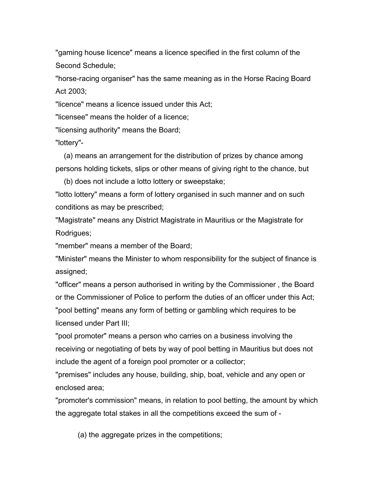"gaming house licence" means a licence specified in the first column of the Second Schedule;

"horse-racing organiser" has the same meaning as in the Horse Racing Board Act 2003;

"licence" means a licence issued under this Act;

"licensee" means the holder of a licence;

"licensing authority" means the Board;

"lottery"-

(a) means an arrangement for the distribution of prizes by chance among persons holding tickets, slips or other means of giving right to the chance, but

(b) does not include a lotto lottery or sweepstake;

"lotto lottery" means a form of lottery organised in such manner and on such conditions as may be prescribed;

"Magistrate" means any District Magistrate in Mauritius or the Magistrate for Rodrigues;

"member" means a member of the Board;

"Minister" means the Minister to whom responsibility for the subject of finance is assigned;

"officer" means a person authorised in writing by the Commissioner , the Board or the Commissioner of Police to perform the duties of an officer under this Act; "pool betting" means any form of betting or gambling which requires to be licensed under Part III;

"pool promoter" means a person who carries on a business involving the receiving or negotiating of bets by way of pool betting in Mauritius but does not include the agent of a foreign pool promoter or a collector;

"premises" includes any house, building, ship, boat, vehicle and any open or enclosed area;

"promoter's commission" means, in relation to pool betting, the amount by which the aggregate total stakes in all the competitions exceed the sum of -

(a) the aggregate prizes in the competitions;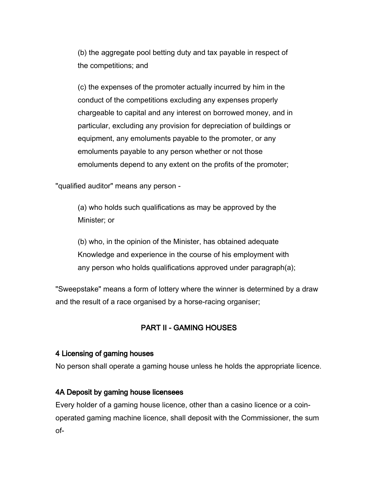(b) the aggregate pool betting duty and tax payable in respect of the competitions; and

(c) the expenses of the promoter actually incurred by him in the conduct of the competitions excluding any expenses properly chargeable to capital and any interest on borrowed money, and in particular, excluding any provision for depreciation of buildings or equipment, any emoluments payable to the promoter, or any emoluments payable to any person whether or not those emoluments depend to any extent on the profits of the promoter;

"qualified auditor" means any person -

(a) who holds such qualifications as may be approved by the Minister; or

(b) who, in the opinion of the Minister, has obtained adequate Knowledge and experience in the course of his employment with any person who holds qualifications approved under paragraph(a);

"Sweepstake" means a form of lottery where the winner is determined by a draw and the result of a race organised by a horse-racing organiser;

### PART II - GAMING HOUSES

#### 4 Licensing of gaming houses

No person shall operate a gaming house unless he holds the appropriate licence.

#### 4A Deposit by gaming house licensees

Every holder of a gaming house licence, other than a casino licence or a coinoperated gaming machine licence, shall deposit with the Commissioner, the sum of-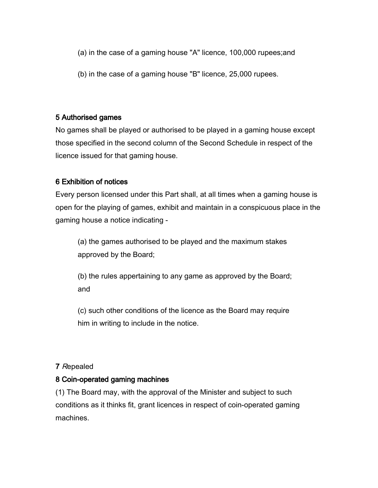- (a) in the case of a gaming house "A" licence, 100,000 rupees;and
- (b) in the case of a gaming house "B" licence, 25,000 rupees.

### 5 Authorised games

No games shall be played or authorised to be played in a gaming house except those specified in the second column of the Second Schedule in respect of the licence issued for that gaming house.

### 6 Exhibition of notices

Every person licensed under this Part shall, at all times when a gaming house is open for the playing of games, exhibit and maintain in a conspicuous place in the gaming house a notice indicating -

(a) the games authorised to be played and the maximum stakes approved by the Board;

(b) the rules appertaining to any game as approved by the Board; and

(c) such other conditions of the licence as the Board may require him in writing to include in the notice.

### 7 Repealed

### 8 Coin-operated gaming machines

(1) The Board may, with the approval of the Minister and subject to such conditions as it thinks fit, grant licences in respect of coin-operated gaming machines.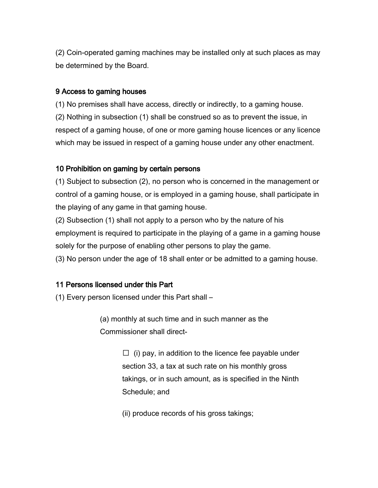(2) Coin-operated gaming machines may be installed only at such places as may be determined by the Board.

#### 9 Access to gaming houses

(1) No premises shall have access, directly or indirectly, to a gaming house. (2) Nothing in subsection (1) shall be construed so as to prevent the issue, in respect of a gaming house, of one or more gaming house licences or any licence which may be issued in respect of a gaming house under any other enactment.

#### 10 Prohibition on gaming by certain persons

(1) Subject to subsection (2), no person who is concerned in the management or control of a gaming house, or is employed in a gaming house, shall participate in the playing of any game in that gaming house.

(2) Subsection (1) shall not apply to a person who by the nature of his employment is required to participate in the playing of a game in a gaming house solely for the purpose of enabling other persons to play the game.

(3) No person under the age of 18 shall enter or be admitted to a gaming house.

#### 11 Persons licensed under this Part

(1) Every person licensed under this Part shall –

(a) monthly at such time and in such manner as the Commissioner shall direct-

> $\Box$  (i) pay, in addition to the licence fee payable under section 33, a tax at such rate on his monthly gross takings, or in such amount, as is specified in the Ninth Schedule; and

(ii) produce records of his gross takings;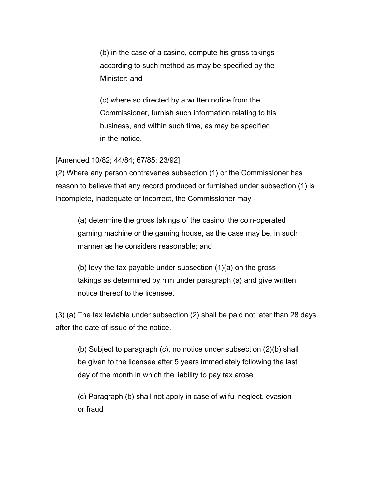(b) in the case of a casino, compute his gross takings according to such method as may be specified by the Minister; and

(c) where so directed by a written notice from the Commissioner, furnish such information relating to his business, and within such time, as may be specified in the notice.

#### [Amended 10/82; 44/84; 67/85; 23/92]

(2) Where any person contravenes subsection (1) or the Commissioner has reason to believe that any record produced or furnished under subsection (1) is incomplete, inadequate or incorrect, the Commissioner may -

(a) determine the gross takings of the casino, the coin-operated gaming machine or the gaming house, as the case may be, in such manner as he considers reasonable; and

(b) levy the tax payable under subsection (1)(a) on the gross takings as determined by him under paragraph (a) and give written notice thereof to the licensee.

(3) (a) The tax leviable under subsection (2) shall be paid not later than 28 days after the date of issue of the notice.

(b) Subject to paragraph (c), no notice under subsection (2)(b) shall be given to the licensee after 5 years immediately following the last day of the month in which the liability to pay tax arose

(c) Paragraph (b) shall not apply in case of wilful neglect, evasion or fraud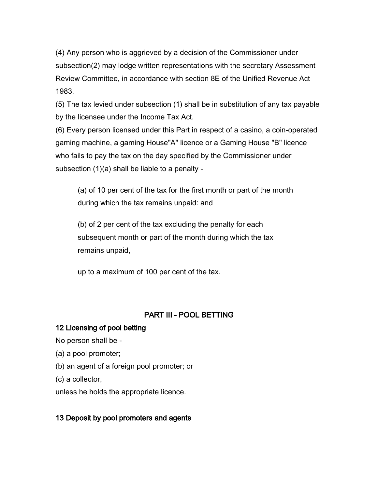(4) Any person who is aggrieved by a decision of the Commissioner under subsection(2) may lodge written representations with the secretary Assessment Review Committee, in accordance with section 8E of the Unified Revenue Act 1983.

(5) The tax levied under subsection (1) shall be in substitution of any tax payable by the licensee under the Income Tax Act.

(6) Every person licensed under this Part in respect of a casino, a coin-operated gaming machine, a gaming House"A" licence or a Gaming House "B" licence who fails to pay the tax on the day specified by the Commissioner under subsection (1)(a) shall be liable to a penalty -

(a) of 10 per cent of the tax for the first month or part of the month during which the tax remains unpaid: and

(b) of 2 per cent of the tax excluding the penalty for each subsequent month or part of the month during which the tax remains unpaid,

up to a maximum of 100 per cent of the tax.

## PART III - POOL BETTING

### 12 Licensing of pool betting

No person shall be -

(a) a pool promoter;

(b) an agent of a foreign pool promoter; or

(c) a collector,

unless he holds the appropriate licence.

## 13 Deposit by pool promoters and agents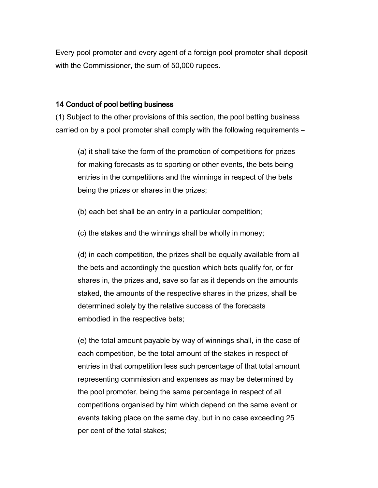Every pool promoter and every agent of a foreign pool promoter shall deposit with the Commissioner, the sum of 50,000 rupees.

#### 14 Conduct of pool betting business

(1) Subject to the other provisions of this section, the pool betting business carried on by a pool promoter shall comply with the following requirements –

(a) it shall take the form of the promotion of competitions for prizes for making forecasts as to sporting or other events, the bets being entries in the competitions and the winnings in respect of the bets being the prizes or shares in the prizes;

(b) each bet shall be an entry in a particular competition;

(c) the stakes and the winnings shall be wholly in money;

(d) in each competition, the prizes shall be equally available from all the bets and accordingly the question which bets qualify for, or for shares in, the prizes and, save so far as it depends on the amounts staked, the amounts of the respective shares in the prizes, shall be determined solely by the relative success of the forecasts embodied in the respective bets;

(e) the total amount payable by way of winnings shall, in the case of each competition, be the total amount of the stakes in respect of entries in that competition less such percentage of that total amount representing commission and expenses as may be determined by the pool promoter, being the same percentage in respect of all competitions organised by him which depend on the same event or events taking place on the same day, but in no case exceeding 25 per cent of the total stakes;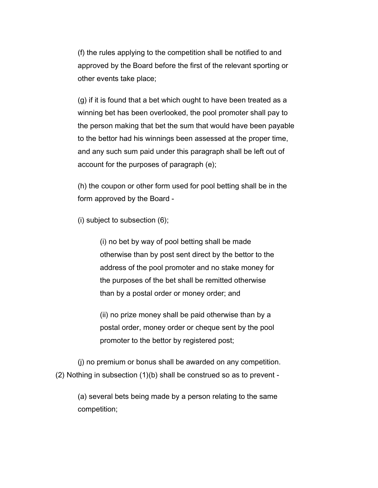(f) the rules applying to the competition shall be notified to and approved by the Board before the first of the relevant sporting or other events take place;

(g) if it is found that a bet which ought to have been treated as a winning bet has been overlooked, the pool promoter shall pay to the person making that bet the sum that would have been payable to the bettor had his winnings been assessed at the proper time, and any such sum paid under this paragraph shall be left out of account for the purposes of paragraph (e);

(h) the coupon or other form used for pool betting shall be in the form approved by the Board -

(i) subject to subsection (6);

(i) no bet by way of pool betting shall be made otherwise than by post sent direct by the bettor to the address of the pool promoter and no stake money for the purposes of the bet shall be remitted otherwise than by a postal order or money order; and

(ii) no prize money shall be paid otherwise than by a postal order, money order or cheque sent by the pool promoter to the bettor by registered post;

(j) no premium or bonus shall be awarded on any competition. (2) Nothing in subsection (1)(b) shall be construed so as to prevent -

(a) several bets being made by a person relating to the same competition;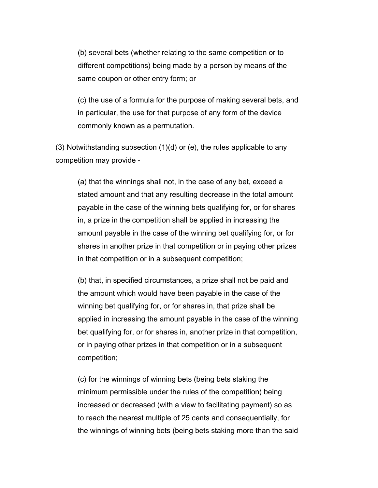(b) several bets (whether relating to the same competition or to different competitions) being made by a person by means of the same coupon or other entry form; or

(c) the use of a formula for the purpose of making several bets, and in particular, the use for that purpose of any form of the device commonly known as a permutation.

(3) Notwithstanding subsection (1)(d) or (e), the rules applicable to any competition may provide -

(a) that the winnings shall not, in the case of any bet, exceed a stated amount and that any resulting decrease in the total amount payable in the case of the winning bets qualifying for, or for shares in, a prize in the competition shall be applied in increasing the amount payable in the case of the winning bet qualifying for, or for shares in another prize in that competition or in paying other prizes in that competition or in a subsequent competition;

(b) that, in specified circumstances, a prize shall not be paid and the amount which would have been payable in the case of the winning bet qualifying for, or for shares in, that prize shall be applied in increasing the amount payable in the case of the winning bet qualifying for, or for shares in, another prize in that competition, or in paying other prizes in that competition or in a subsequent competition;

(c) for the winnings of winning bets (being bets staking the minimum permissible under the rules of the competition) being increased or decreased (with a view to facilitating payment) so as to reach the nearest multiple of 25 cents and consequentially, for the winnings of winning bets (being bets staking more than the said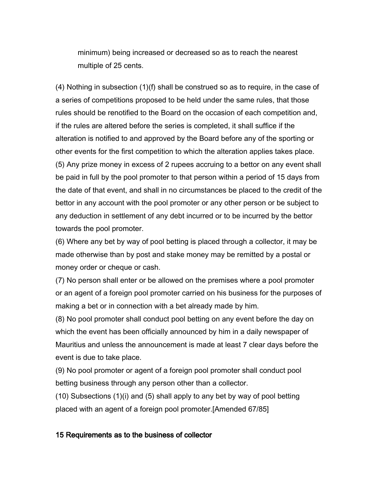minimum) being increased or decreased so as to reach the nearest multiple of 25 cents.

(4) Nothing in subsection (1)(f) shall be construed so as to require, in the case of a series of competitions proposed to be held under the same rules, that those rules should be renotified to the Board on the occasion of each competition and, if the rules are altered before the series is completed, it shall suffice if the alteration is notified to and approved by the Board before any of the sporting or other events for the first competition to which the alteration applies takes place. (5) Any prize money in excess of 2 rupees accruing to a bettor on any event shall be paid in full by the pool promoter to that person within a period of 15 days from the date of that event, and shall in no circumstances be placed to the credit of the bettor in any account with the pool promoter or any other person or be subject to any deduction in settlement of any debt incurred or to be incurred by the bettor towards the pool promoter.

(6) Where any bet by way of pool betting is placed through a collector, it may be made otherwise than by post and stake money may be remitted by a postal or money order or cheque or cash.

(7) No person shall enter or be allowed on the premises where a pool promoter or an agent of a foreign pool promoter carried on his business for the purposes of making a bet or in connection with a bet already made by him.

(8) No pool promoter shall conduct pool betting on any event before the day on which the event has been officially announced by him in a daily newspaper of Mauritius and unless the announcement is made at least 7 clear days before the event is due to take place.

(9) No pool promoter or agent of a foreign pool promoter shall conduct pool betting business through any person other than a collector.

(10) Subsections (1)(i) and (5) shall apply to any bet by way of pool betting placed with an agent of a foreign pool promoter.[Amended 67/85]

#### 15 Requirements as to the business of collector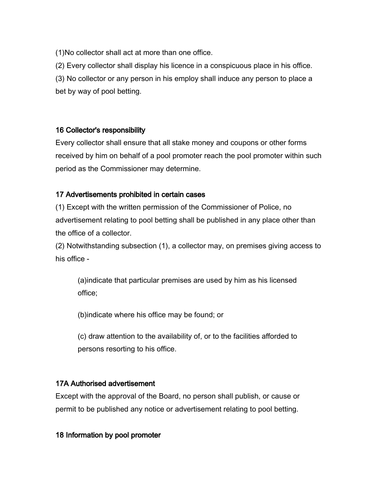(1)No collector shall act at more than one office.

(2) Every collector shall display his licence in a conspicuous place in his office.

(3) No collector or any person in his employ shall induce any person to place a bet by way of pool betting.

## 16 Collector's responsibility

Every collector shall ensure that all stake money and coupons or other forms received by him on behalf of a pool promoter reach the pool promoter within such period as the Commissioner may determine.

## 17 Advertisements prohibited in certain cases

(1) Except with the written permission of the Commissioner of Police, no advertisement relating to pool betting shall be published in any place other than the office of a collector.

(2) Notwithstanding subsection (1), a collector may, on premises giving access to his office -

(a)indicate that particular premises are used by him as his licensed office;

(b)indicate where his office may be found; or

(c) draw attention to the availability of, or to the facilities afforded to persons resorting to his office.

## 17A Authorised advertisement

Except with the approval of the Board, no person shall publish, or cause or permit to be published any notice or advertisement relating to pool betting.

## 18 Information by pool promoter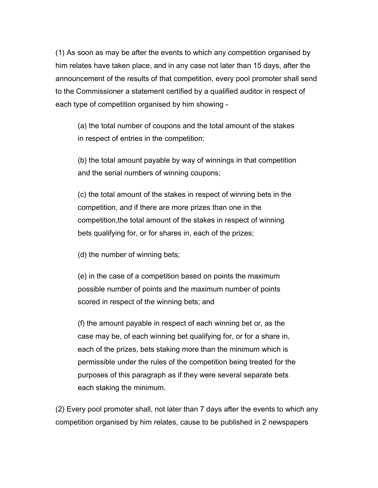(1) As soon as may be after the events to which any competition organised by him relates have taken place, and in any case not later than 15 days, after the announcement of the results of that competition, every pool promoter shall send to the Commissioner a statement certified by a qualified auditor in respect of each type of competition organised by him showing -

(a) the total number of coupons and the total amount of the stakes in respect of entries in the competition;

(b) the total amount payable by way of winnings in that competition and the serial numbers of winning coupons;

(c) the total amount of the stakes in respect of winning bets in the competition, and if there are more prizes than one in the competition,the total amount of the stakes in respect of winning bets qualifying for, or for shares in, each of the prizes;

(d) the number of winning bets;

(e) in the case of a competition based on points the maximum possible number of points and the maximum number of points scored in respect of the winning bets; and

(f) the amount payable in respect of each winning bet or, as the case may be, of each winning bet qualifying for, or for a share in, each of the prizes, bets staking more than the minimum which is permissible under the rules of the competition being treated for the purposes of this paragraph as if they were several separate bets each staking the minimum.

(2) Every pool promoter shall, not later than 7 days after the events to which any competition organised by him relates, cause to be published in 2 newspapers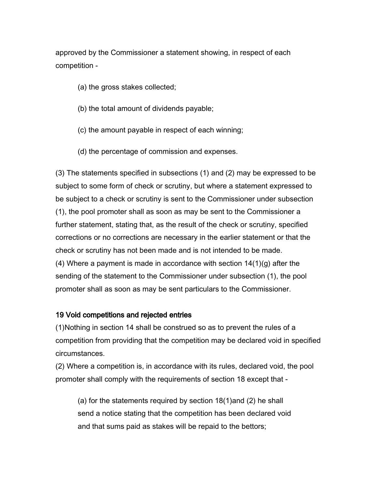approved by the Commissioner a statement showing, in respect of each competition -

- (a) the gross stakes collected;
- (b) the total amount of dividends payable;
- (c) the amount payable in respect of each winning;
- (d) the percentage of commission and expenses.

(3) The statements specified in subsections (1) and (2) may be expressed to be subject to some form of check or scrutiny, but where a statement expressed to be subject to a check or scrutiny is sent to the Commissioner under subsection (1), the pool promoter shall as soon as may be sent to the Commissioner a further statement, stating that, as the result of the check or scrutiny, specified corrections or no corrections are necessary in the earlier statement or that the check or scrutiny has not been made and is not intended to be made. (4) Where a payment is made in accordance with section  $14(1)(g)$  after the sending of the statement to the Commissioner under subsection (1), the pool promoter shall as soon as may be sent particulars to the Commissioner.

#### 19 Void competitions and rejected entries

(1)Nothing in section 14 shall be construed so as to prevent the rules of a competition from providing that the competition may be declared void in specified circumstances.

(2) Where a competition is, in accordance with its rules, declared void, the pool promoter shall comply with the requirements of section 18 except that -

(a) for the statements required by section 18(1)and (2) he shall send a notice stating that the competition has been declared void and that sums paid as stakes will be repaid to the bettors;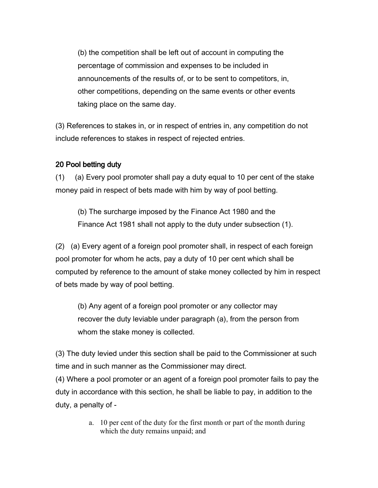(b) the competition shall be left out of account in computing the percentage of commission and expenses to be included in announcements of the results of, or to be sent to competitors, in, other competitions, depending on the same events or other events taking place on the same day.

(3) References to stakes in, or in respect of entries in, any competition do not include references to stakes in respect of rejected entries.

### 20 Pool betting duty

(1) (a) Every pool promoter shall pay a duty equal to 10 per cent of the stake money paid in respect of bets made with him by way of pool betting.

(b) The surcharge imposed by the Finance Act 1980 and the Finance Act 1981 shall not apply to the duty under subsection (1).

(2) (a) Every agent of a foreign pool promoter shall, in respect of each foreign pool promoter for whom he acts, pay a duty of 10 per cent which shall be computed by reference to the amount of stake money collected by him in respect of bets made by way of pool betting.

(b) Any agent of a foreign pool promoter or any collector may recover the duty leviable under paragraph (a), from the person from whom the stake money is collected.

(3) The duty levied under this section shall be paid to the Commissioner at such time and in such manner as the Commissioner may direct.

(4) Where a pool promoter or an agent of a foreign pool promoter fails to pay the duty in accordance with this section, he shall be liable to pay, in addition to the duty, a penalty of -

> a. 10 per cent of the duty for the first month or part of the month during which the duty remains unpaid; and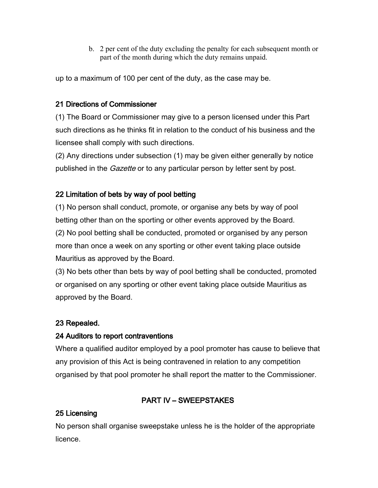b. 2 per cent of the duty excluding the penalty for each subsequent month or part of the month during which the duty remains unpaid.

up to a maximum of 100 per cent of the duty, as the case may be.

### 21 Directions of Commissioner

(1) The Board or Commissioner may give to a person licensed under this Part such directions as he thinks fit in relation to the conduct of his business and the licensee shall comply with such directions.

(2) Any directions under subsection (1) may be given either generally by notice published in the *Gazette* or to any particular person by letter sent by post.

## 22 Limitation of bets by way of pool betting

(1) No person shall conduct, promote, or organise any bets by way of pool betting other than on the sporting or other events approved by the Board. (2) No pool betting shall be conducted, promoted or organised by any person more than once a week on any sporting or other event taking place outside Mauritius as approved by the Board.

(3) No bets other than bets by way of pool betting shall be conducted, promoted or organised on any sporting or other event taking place outside Mauritius as approved by the Board.

## 23 Repealed.

## 24 Auditors to report contraventions

Where a qualified auditor employed by a pool promoter has cause to believe that any provision of this Act is being contravened in relation to any competition organised by that pool promoter he shall report the matter to the Commissioner.

## PART IV – SWEEPSTAKES

## 25 Licensing

No person shall organise sweepstake unless he is the holder of the appropriate licence.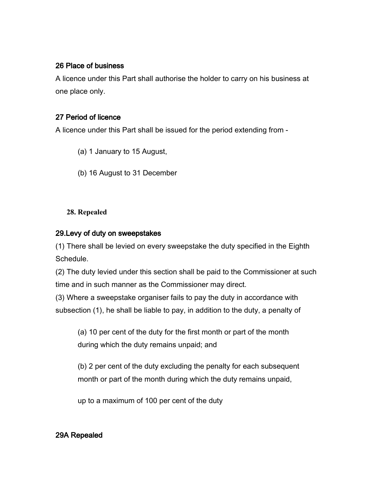### 26 Place of business

A licence under this Part shall authorise the holder to carry on his business at one place only.

### 27 Period of licence

A licence under this Part shall be issued for the period extending from -

- (a) 1 January to 15 August,
- (b) 16 August to 31 December

### **28. Repealed**

### 29.Levy of duty on sweepstakes

(1) There shall be levied on every sweepstake the duty specified in the Eighth Schedule.

(2) The duty levied under this section shall be paid to the Commissioner at such time and in such manner as the Commissioner may direct.

(3) Where a sweepstake organiser fails to pay the duty in accordance with subsection (1), he shall be liable to pay, in addition to the duty, a penalty of

(a) 10 per cent of the duty for the first month or part of the month during which the duty remains unpaid; and

(b) 2 per cent of the duty excluding the penalty for each subsequent month or part of the month during which the duty remains unpaid,

up to a maximum of 100 per cent of the duty

## 29A Repealed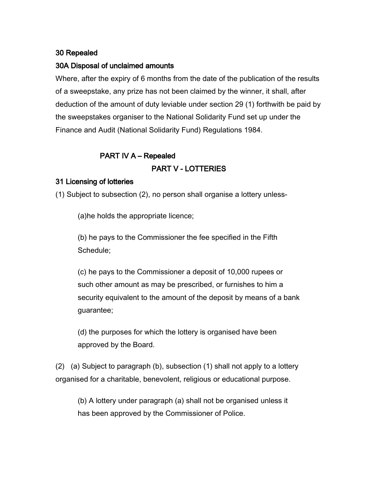### 30 Repealed

### 30A Disposal of unclaimed amounts

Where, after the expiry of 6 months from the date of the publication of the results of a sweepstake, any prize has not been claimed by the winner, it shall, after deduction of the amount of duty leviable under section 29 (1) forthwith be paid by the sweepstakes organiser to the National Solidarity Fund set up under the Finance and Audit (National Solidarity Fund) Regulations 1984.

### PART IV A – Repealed

### PART V - LOTTERIES

### 31 Licensing of lotteries

(1) Subject to subsection (2), no person shall organise a lottery unless-

(a)he holds the appropriate licence;

(b) he pays to the Commissioner the fee specified in the Fifth Schedule;

(c) he pays to the Commissioner a deposit of 10,000 rupees or such other amount as may be prescribed, or furnishes to him a security equivalent to the amount of the deposit by means of a bank guarantee;

(d) the purposes for which the lottery is organised have been approved by the Board.

(2) (a) Subject to paragraph (b), subsection (1) shall not apply to a lottery organised for a charitable, benevolent, religious or educational purpose.

(b) A lottery under paragraph (a) shall not be organised unless it has been approved by the Commissioner of Police.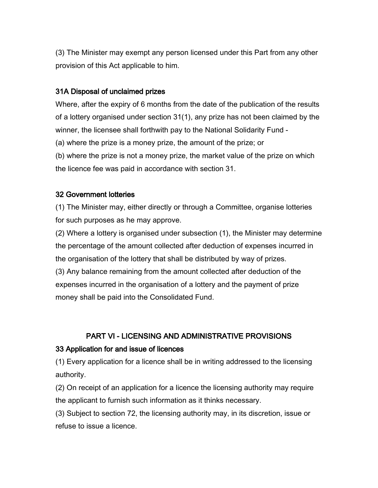(3) The Minister may exempt any person licensed under this Part from any other provision of this Act applicable to him.

### 31A Disposal of unclaimed prizes

Where, after the expiry of 6 months from the date of the publication of the results of a lottery organised under section 31(1), any prize has not been claimed by the winner, the licensee shall forthwith pay to the National Solidarity Fund - (a) where the prize is a money prize, the amount of the prize; or (b) where the prize is not a money prize, the market value of the prize on which the licence fee was paid in accordance with section 31.

### 32 Government lotteries

(1) The Minister may, either directly or through a Committee, organise lotteries for such purposes as he may approve.

(2) Where a lottery is organised under subsection (1), the Minister may determine the percentage of the amount collected after deduction of expenses incurred in the organisation of the lottery that shall be distributed by way of prizes.

(3) Any balance remaining from the amount collected after deduction of the expenses incurred in the organisation of a lottery and the payment of prize money shall be paid into the Consolidated Fund.

## PART VI - LICENSING AND ADMINISTRATIVE PROVISIONS

## 33 Application for and issue of licences

(1) Every application for a licence shall be in writing addressed to the licensing authority.

(2) On receipt of an application for a licence the licensing authority may require the applicant to furnish such information as it thinks necessary.

(3) Subject to section 72, the licensing authority may, in its discretion, issue or refuse to issue a licence.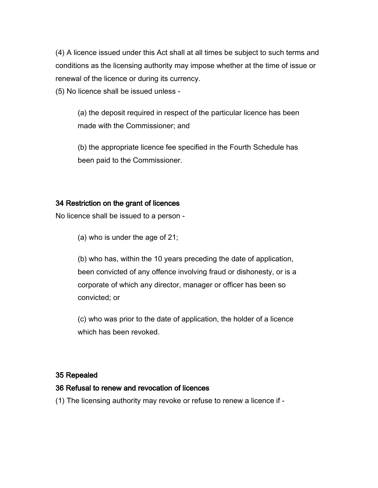(4) A licence issued under this Act shall at all times be subject to such terms and conditions as the licensing authority may impose whether at the time of issue or renewal of the licence or during its currency.

(5) No licence shall be issued unless -

(a) the deposit required in respect of the particular licence has been made with the Commissioner; and

(b) the appropriate licence fee specified in the Fourth Schedule has been paid to the Commissioner.

### 34 Restriction on the grant of licences

No licence shall be issued to a person -

(a) who is under the age of 21;

(b) who has, within the 10 years preceding the date of application, been convicted of any offence involving fraud or dishonesty, or is a corporate of which any director, manager or officer has been so convicted; or

(c) who was prior to the date of application, the holder of a licence which has been revoked.

#### 35 Repealed

#### 36 Refusal to renew and revocation of licences

(1) The licensing authority may revoke or refuse to renew a licence if -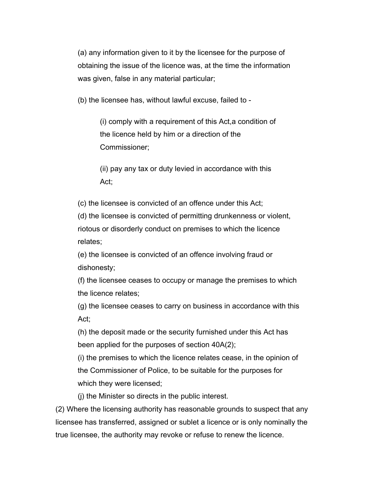(a) any information given to it by the licensee for the purpose of obtaining the issue of the licence was, at the time the information was given, false in any material particular;

(b) the licensee has, without lawful excuse, failed to -

(i) comply with a requirement of this Act,a condition of the licence held by him or a direction of the Commissioner;

(ii) pay any tax or duty levied in accordance with this Act;

(c) the licensee is convicted of an offence under this Act;

(d) the licensee is convicted of permitting drunkenness or violent, riotous or disorderly conduct on premises to which the licence relates;

(e) the licensee is convicted of an offence involving fraud or dishonesty;

(f) the licensee ceases to occupy or manage the premises to which the licence relates;

(g) the licensee ceases to carry on business in accordance with this Act;

(h) the deposit made or the security furnished under this Act has been applied for the purposes of section 40A(2);

(i) the premises to which the licence relates cease, in the opinion of the Commissioner of Police, to be suitable for the purposes for which they were licensed;

(j) the Minister so directs in the public interest.

(2) Where the licensing authority has reasonable grounds to suspect that any licensee has transferred, assigned or sublet a licence or is only nominally the true licensee, the authority may revoke or refuse to renew the licence.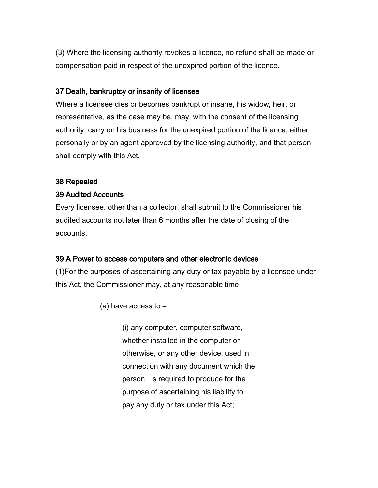(3) Where the licensing authority revokes a licence, no refund shall be made or compensation paid in respect of the unexpired portion of the licence.

#### 37 Death, bankruptcy or insanity of licensee

Where a licensee dies or becomes bankrupt or insane, his widow, heir, or representative, as the case may be, may, with the consent of the licensing authority, carry on his business for the unexpired portion of the licence, either personally or by an agent approved by the licensing authority, and that person shall comply with this Act.

#### 38 Repealed

### 39 Audited Accounts

Every licensee, other than a collector, shall submit to the Commissioner his audited accounts not later than 6 months after the date of closing of the accounts.

### 39 A Power to access computers and other electronic devices

(1)For the purposes of ascertaining any duty or tax payable by a licensee under this Act, the Commissioner may, at any reasonable time –

(a) have access to  $-$ 

(i) any computer, computer software, whether installed in the computer or otherwise, or any other device, used in connection with any document which the person is required to produce for the purpose of ascertaining his liability to pay any duty or tax under this Act;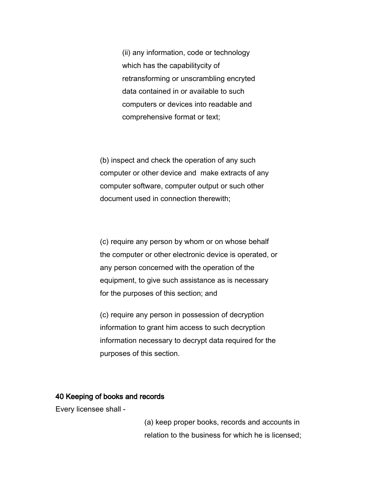(ii) any information, code or technology which has the capabilitycity of retransforming or unscrambling encryted data contained in or available to such computers or devices into readable and comprehensive format or text;

(b) inspect and check the operation of any such computer or other device and make extracts of any computer software, computer output or such other document used in connection therewith;

(c) require any person by whom or on whose behalf the computer or other electronic device is operated, or any person concerned with the operation of the equipment, to give such assistance as is necessary for the purposes of this section; and

(c) require any person in possession of decryption information to grant him access to such decryption information necessary to decrypt data required for the purposes of this section.

#### 40 Keeping of books and records

Every licensee shall -

(a) keep proper books, records and accounts in relation to the business for which he is licensed;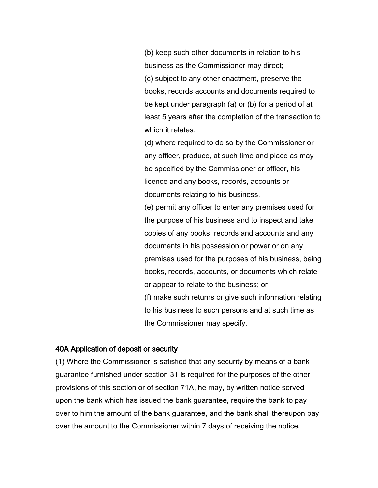(b) keep such other documents in relation to his business as the Commissioner may direct; (c) subject to any other enactment, preserve the books, records accounts and documents required to be kept under paragraph (a) or (b) for a period of at least 5 years after the completion of the transaction to which it relates.

(d) where required to do so by the Commissioner or any officer, produce, at such time and place as may be specified by the Commissioner or officer, his licence and any books, records, accounts or documents relating to his business.

(e) permit any officer to enter any premises used for the purpose of his business and to inspect and take copies of any books, records and accounts and any documents in his possession or power or on any premises used for the purposes of his business, being books, records, accounts, or documents which relate or appear to relate to the business; or (f) make such returns or give such information relating to his business to such persons and at such time as the Commissioner may specify.

#### 40A Application of deposit or security

(1) Where the Commissioner is satisfied that any security by means of a bank guarantee furnished under section 31 is required for the purposes of the other provisions of this section or of section 71A, he may, by written notice served upon the bank which has issued the bank guarantee, require the bank to pay over to him the amount of the bank guarantee, and the bank shall thereupon pay over the amount to the Commissioner within 7 days of receiving the notice.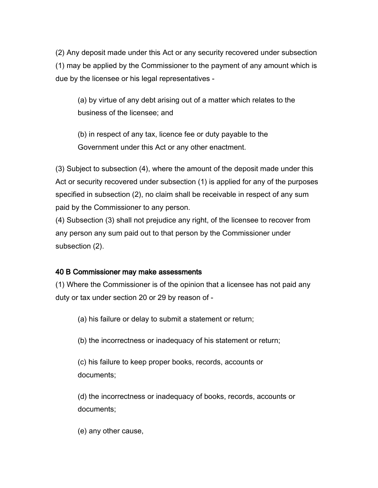(2) Any deposit made under this Act or any security recovered under subsection (1) may be applied by the Commissioner to the payment of any amount which is due by the licensee or his legal representatives -

(a) by virtue of any debt arising out of a matter which relates to the business of the licensee; and

(b) in respect of any tax, licence fee or duty payable to the Government under this Act or any other enactment.

(3) Subject to subsection (4), where the amount of the deposit made under this Act or security recovered under subsection (1) is applied for any of the purposes specified in subsection (2), no claim shall be receivable in respect of any sum paid by the Commissioner to any person.

(4) Subsection (3) shall not prejudice any right, of the licensee to recover from any person any sum paid out to that person by the Commissioner under subsection (2).

#### 40 B Commissioner may make assessments

(1) Where the Commissioner is of the opinion that a licensee has not paid any duty or tax under section 20 or 29 by reason of -

(a) his failure or delay to submit a statement or return;

(b) the incorrectness or inadequacy of his statement or return;

(c) his failure to keep proper books, records, accounts or documents;

(d) the incorrectness or inadequacy of books, records, accounts or documents;

(e) any other cause,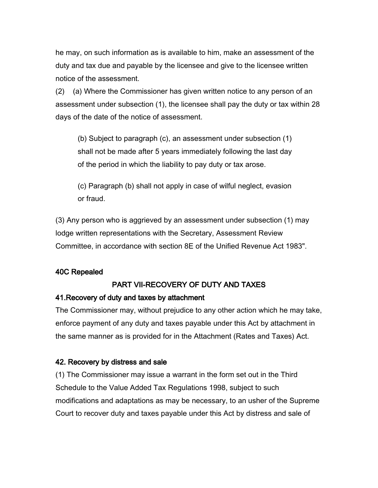he may, on such information as is available to him, make an assessment of the duty and tax due and payable by the licensee and give to the licensee written notice of the assessment.

(2) (a) Where the Commissioner has given written notice to any person of an assessment under subsection (1), the licensee shall pay the duty or tax within 28 days of the date of the notice of assessment.

(b) Subject to paragraph (c), an assessment under subsection (1) shall not be made after 5 years immediately following the last day of the period in which the liability to pay duty or tax arose.

(c) Paragraph (b) shall not apply in case of wilful neglect, evasion or fraud.

(3) Any person who is aggrieved by an assessment under subsection (1) may lodge written representations with the Secretary, Assessment Review Committee, in accordance with section 8E of the Unified Revenue Act 1983".

### 40C Repealed

## PART VII-RECOVERY OF DUTY AND TAXES

### 41.Recovery of duty and taxes by attachment

The Commissioner may, without prejudice to any other action which he may take, enforce payment of any duty and taxes payable under this Act by attachment in the same manner as is provided for in the Attachment (Rates and Taxes) Act.

### 42. Recovery by distress and sale

(1) The Commissioner may issue a warrant in the form set out in the Third Schedule to the Value Added Tax Regulations 1998, subject to such modifications and adaptations as may be necessary, to an usher of the Supreme Court to recover duty and taxes payable under this Act by distress and sale of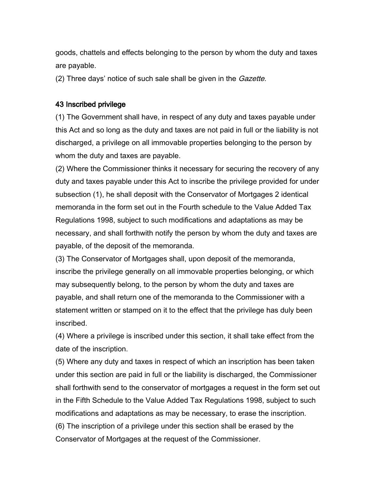goods, chattels and effects belonging to the person by whom the duty and taxes are payable.

(2) Three days' notice of such sale shall be given in the *Gazette*.

#### 43 Inscribed privilege

(1) The Government shall have, in respect of any duty and taxes payable under this Act and so long as the duty and taxes are not paid in full or the liability is not discharged, a privilege on all immovable properties belonging to the person by whom the duty and taxes are payable.

(2) Where the Commissioner thinks it necessary for securing the recovery of any duty and taxes payable under this Act to inscribe the privilege provided for under subsection (1), he shall deposit with the Conservator of Mortgages 2 identical memoranda in the form set out in the Fourth schedule to the Value Added Tax Regulations 1998, subject to such modifications and adaptations as may be necessary, and shall forthwith notify the person by whom the duty and taxes are payable, of the deposit of the memoranda.

(3) The Conservator of Mortgages shall, upon deposit of the memoranda, inscribe the privilege generally on all immovable properties belonging, or which may subsequently belong, to the person by whom the duty and taxes are payable, and shall return one of the memoranda to the Commissioner with a statement written or stamped on it to the effect that the privilege has duly been inscribed.

(4) Where a privilege is inscribed under this section, it shall take effect from the date of the inscription.

(5) Where any duty and taxes in respect of which an inscription has been taken under this section are paid in full or the liability is discharged, the Commissioner shall forthwith send to the conservator of mortgages a request in the form set out in the Fifth Schedule to the Value Added Tax Regulations 1998, subject to such modifications and adaptations as may be necessary, to erase the inscription. (6) The inscription of a privilege under this section shall be erased by the Conservator of Mortgages at the request of the Commissioner.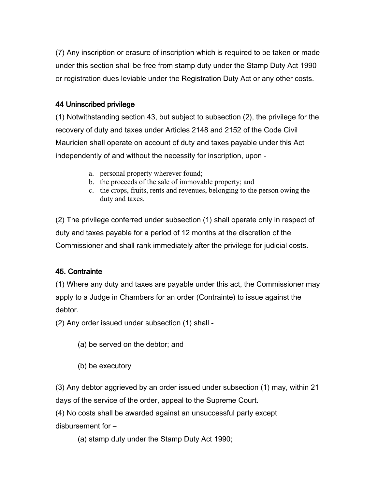(7) Any inscription or erasure of inscription which is required to be taken or made under this section shall be free from stamp duty under the Stamp Duty Act 1990 or registration dues leviable under the Registration Duty Act or any other costs.

### 44 Uninscribed privilege

(1) Notwithstanding section 43, but subject to subsection (2), the privilege for the recovery of duty and taxes under Articles 2148 and 2152 of the Code Civil Mauricien shall operate on account of duty and taxes payable under this Act independently of and without the necessity for inscription, upon -

- a. personal property wherever found;
- b. the proceeds of the sale of immovable property; and
- c. the crops, fruits, rents and revenues, belonging to the person owing the duty and taxes.

(2) The privilege conferred under subsection (1) shall operate only in respect of duty and taxes payable for a period of 12 months at the discretion of the Commissioner and shall rank immediately after the privilege for judicial costs.

## 45. Contrainte

(1) Where any duty and taxes are payable under this act, the Commissioner may apply to a Judge in Chambers for an order (Contrainte) to issue against the debtor.

(2) Any order issued under subsection (1) shall -

- (a) be served on the debtor; and
- (b) be executory

(3) Any debtor aggrieved by an order issued under subsection (1) may, within 21 days of the service of the order, appeal to the Supreme Court.

(4) No costs shall be awarded against an unsuccessful party except disbursement for –

(a) stamp duty under the Stamp Duty Act 1990;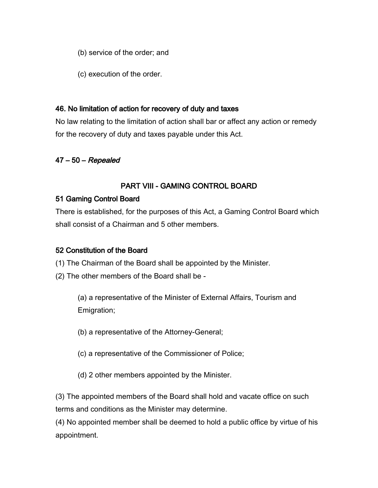- (b) service of the order; and
- (c) execution of the order.

#### 46. No limitation of action for recovery of duty and taxes

No law relating to the limitation of action shall bar or affect any action or remedy for the recovery of duty and taxes payable under this Act.

### 47 – 50 – Repealed

### PART VIII - GAMING CONTROL BOARD

### 51 Gaming Control Board

There is established, for the purposes of this Act, a Gaming Control Board which shall consist of a Chairman and 5 other members.

### 52 Constitution of the Board

- (1) The Chairman of the Board shall be appointed by the Minister.
- (2) The other members of the Board shall be -

(a) a representative of the Minister of External Affairs, Tourism and Emigration;

- (b) a representative of the Attorney-General;
- (c) a representative of the Commissioner of Police;
- (d) 2 other members appointed by the Minister.

(3) The appointed members of the Board shall hold and vacate office on such terms and conditions as the Minister may determine.

(4) No appointed member shall be deemed to hold a public office by virtue of his appointment.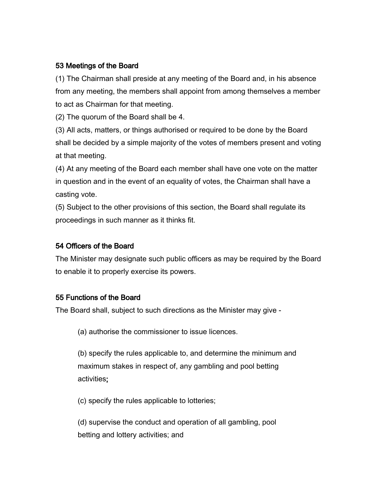### 53 Meetings of the Board

(1) The Chairman shall preside at any meeting of the Board and, in his absence from any meeting, the members shall appoint from among themselves a member to act as Chairman for that meeting.

(2) The quorum of the Board shall be 4.

(3) All acts, matters, or things authorised or required to be done by the Board shall be decided by a simple majority of the votes of members present and voting at that meeting.

(4) At any meeting of the Board each member shall have one vote on the matter in question and in the event of an equality of votes, the Chairman shall have a casting vote.

(5) Subject to the other provisions of this section, the Board shall regulate its proceedings in such manner as it thinks fit.

### 54 Officers of the Board

The Minister may designate such public officers as may be required by the Board to enable it to properly exercise its powers.

## 55 Functions of the Board

The Board shall, subject to such directions as the Minister may give -

(a) authorise the commissioner to issue licences.

(b) specify the rules applicable to, and determine the minimum and maximum stakes in respect of, any gambling and pool betting activities;

(c) specify the rules applicable to lotteries;

(d) supervise the conduct and operation of all gambling, pool betting and lottery activities; and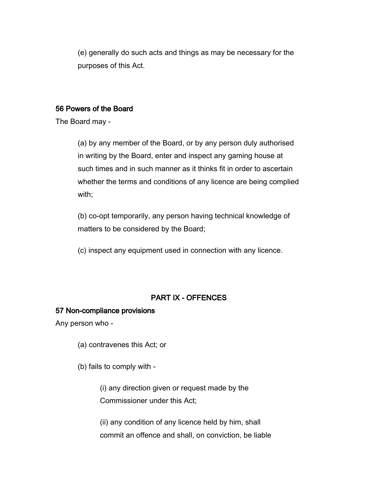(e) generally do such acts and things as may be necessary for the purposes of this Act.

#### 56 Powers of the Board

The Board may -

(a) by any member of the Board, or by any person duly authorised in writing by the Board, enter and inspect any gaming house at such times and in such manner as it thinks fit in order to ascertain whether the terms and conditions of any licence are being complied with;

(b) co-opt temporarily, any person having technical knowledge of matters to be considered by the Board;

(c) inspect any equipment used in connection with any licence.

## PART IX - OFFENCES

#### 57 Non-compliance provisions

Any person who -

(a) contravenes this Act; or

(b) fails to comply with -

(i) any direction given or request made by the Commissioner under this Act;

(ii) any condition of any licence held by him, shall commit an offence and shall, on conviction, be liable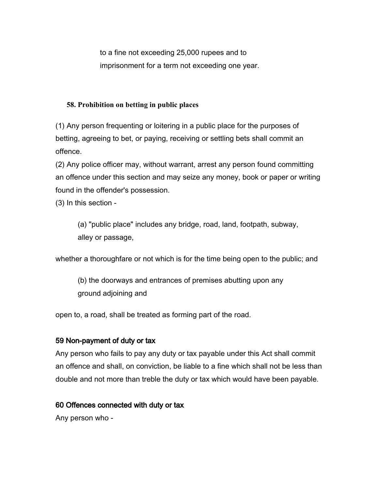to a fine not exceeding 25,000 rupees and to imprisonment for a term not exceeding one year.

#### **58. Prohibition on betting in public places**

(1) Any person frequenting or loitering in a public place for the purposes of betting, agreeing to bet, or paying, receiving or settling bets shall commit an offence.

(2) Any police officer may, without warrant, arrest any person found committing an offence under this section and may seize any money, book or paper or writing found in the offender's possession.

(3) In this section -

(a) "public place" includes any bridge, road, land, footpath, subway, alley or passage,

whether a thoroughfare or not which is for the time being open to the public; and

(b) the doorways and entrances of premises abutting upon any ground adjoining and

open to, a road, shall be treated as forming part of the road.

## 59 Non-payment of duty or tax

Any person who fails to pay any duty or tax payable under this Act shall commit an offence and shall, on conviction, be liable to a fine which shall not be less than double and not more than treble the duty or tax which would have been payable.

## 60 Offences connected with duty or tax

Any person who -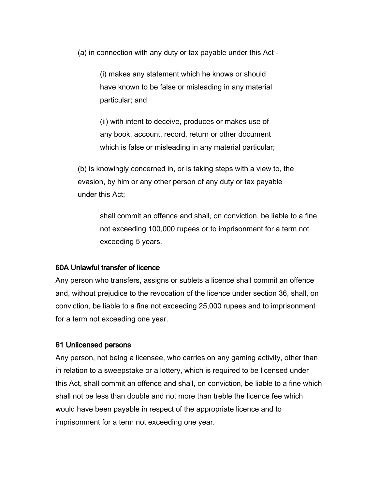(a) in connection with any duty or tax payable under this Act -

(i) makes any statement which he knows or should have known to be false or misleading in any material particular; and

(ii) with intent to deceive, produces or makes use of any book, account, record, return or other document which is false or misleading in any material particular;

(b) is knowingly concerned in, or is taking steps with a view to, the evasion, by him or any other person of any duty or tax payable under this Act;

shall commit an offence and shall, on conviction, be liable to a fine not exceeding 100,000 rupees or to imprisonment for a term not exceeding 5 years.

#### 60A Unlawful transfer of licence

Any person who transfers, assigns or sublets a licence shall commit an offence and, without prejudice to the revocation of the licence under section 36, shall, on conviction, be liable to a fine not exceeding 25,000 rupees and to imprisonment for a term not exceeding one year.

#### 61 Unlicensed persons

Any person, not being a licensee, who carries on any gaming activity, other than in relation to a sweepstake or a lottery, which is required to be licensed under this Act, shall commit an offence and shall, on conviction, be liable to a fine which shall not be less than double and not more than treble the licence fee which would have been payable in respect of the appropriate licence and to imprisonment for a term not exceeding one year.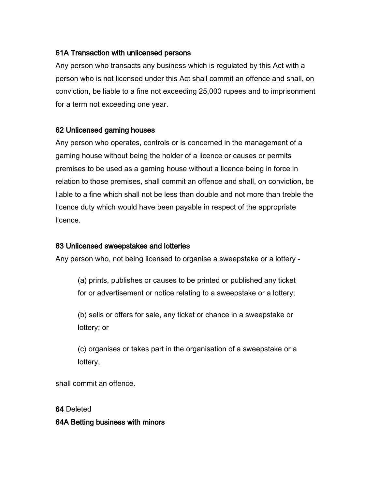### 61A Transaction with unlicensed persons

Any person who transacts any business which is regulated by this Act with a person who is not licensed under this Act shall commit an offence and shall, on conviction, be liable to a fine not exceeding 25,000 rupees and to imprisonment for a term not exceeding one year.

#### 62 Unlicensed gaming houses

Any person who operates, controls or is concerned in the management of a gaming house without being the holder of a licence or causes or permits premises to be used as a gaming house without a licence being in force in relation to those premises, shall commit an offence and shall, on conviction, be liable to a fine which shall not be less than double and not more than treble the licence duty which would have been payable in respect of the appropriate licence.

#### 63 Unlicensed sweepstakes and lotteries

Any person who, not being licensed to organise a sweepstake or a lottery -

(a) prints, publishes or causes to be printed or published any ticket for or advertisement or notice relating to a sweepstake or a lottery;

(b) sells or offers for sale, any ticket or chance in a sweepstake or lottery; or

(c) organises or takes part in the organisation of a sweepstake or a lottery,

shall commit an offence.

64 Deleted

### 64A Betting business with minors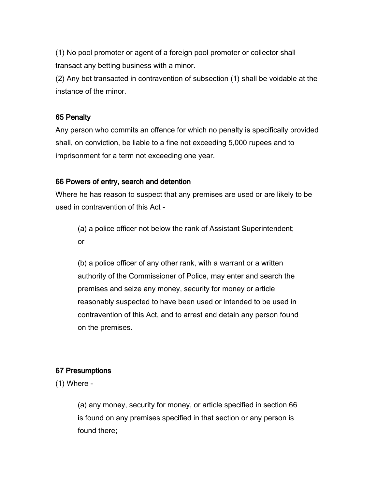(1) No pool promoter or agent of a foreign pool promoter or collector shall transact any betting business with a minor.

(2) Any bet transacted in contravention of subsection (1) shall be voidable at the instance of the minor.

#### 65 Penalty

Any person who commits an offence for which no penalty is specifically provided shall, on conviction, be liable to a fine not exceeding 5,000 rupees and to imprisonment for a term not exceeding one year.

#### 66 Powers of entry, search and detention

Where he has reason to suspect that any premises are used or are likely to be used in contravention of this Act -

(a) a police officer not below the rank of Assistant Superintendent; or

(b) a police officer of any other rank, with a warrant or a written authority of the Commissioner of Police, may enter and search the premises and seize any money, security for money or article reasonably suspected to have been used or intended to be used in contravention of this Act, and to arrest and detain any person found on the premises.

#### 67 Presumptions

(1) Where -

(a) any money, security for money, or article specified in section 66 is found on any premises specified in that section or any person is found there;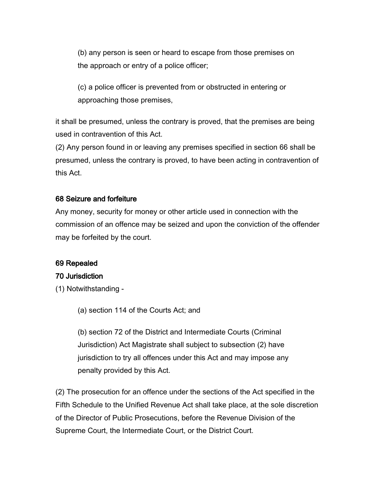(b) any person is seen or heard to escape from those premises on the approach or entry of a police officer;

(c) a police officer is prevented from or obstructed in entering or approaching those premises,

it shall be presumed, unless the contrary is proved, that the premises are being used in contravention of this Act.

(2) Any person found in or leaving any premises specified in section 66 shall be presumed, unless the contrary is proved, to have been acting in contravention of this Act.

#### 68 Seizure and forfeiture

Any money, security for money or other article used in connection with the commission of an offence may be seized and upon the conviction of the offender may be forfeited by the court.

#### 69 Repealed

#### 70 Jurisdiction

- (1) Notwithstanding
	- (a) section 114 of the Courts Act; and

(b) section 72 of the District and Intermediate Courts (Criminal Jurisdiction) Act Magistrate shall subject to subsection (2) have jurisdiction to try all offences under this Act and may impose any penalty provided by this Act.

(2) The prosecution for an offence under the sections of the Act specified in the Fifth Schedule to the Unified Revenue Act shall take place, at the sole discretion of the Director of Public Prosecutions, before the Revenue Division of the Supreme Court, the Intermediate Court, or the District Court.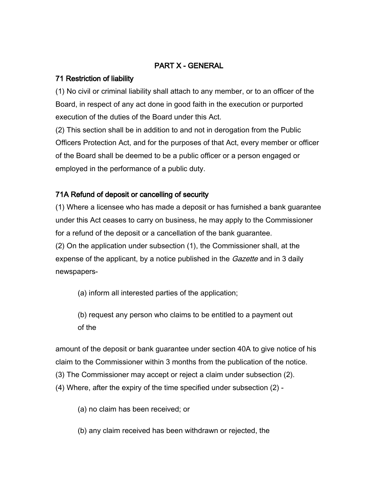## PART X - GENERAL

### 71 Restriction of liability

(1) No civil or criminal liability shall attach to any member, or to an officer of the Board, in respect of any act done in good faith in the execution or purported execution of the duties of the Board under this Act.

(2) This section shall be in addition to and not in derogation from the Public Officers Protection Act, and for the purposes of that Act, every member or officer of the Board shall be deemed to be a public officer or a person engaged or employed in the performance of a public duty.

## 71A Refund of deposit or cancelling of security

(1) Where a licensee who has made a deposit or has furnished a bank guarantee under this Act ceases to carry on business, he may apply to the Commissioner for a refund of the deposit or a cancellation of the bank guarantee. (2) On the application under subsection (1), the Commissioner shall, at the expense of the applicant, by a notice published in the *Gazette* and in 3 daily newspapers-

(a) inform all interested parties of the application;

(b) request any person who claims to be entitled to a payment out of the

amount of the deposit or bank guarantee under section 40A to give notice of his claim to the Commissioner within 3 months from the publication of the notice. (3) The Commissioner may accept or reject a claim under subsection (2). (4) Where, after the expiry of the time specified under subsection (2) -

(a) no claim has been received; or

(b) any claim received has been withdrawn or rejected, the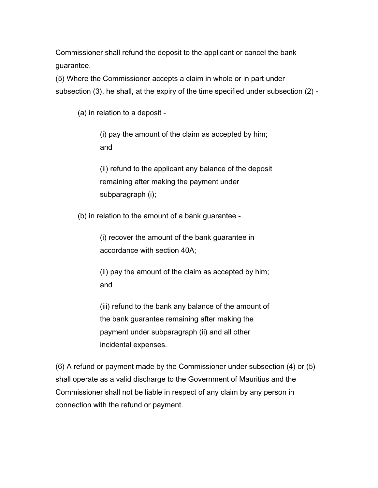Commissioner shall refund the deposit to the applicant or cancel the bank guarantee.

(5) Where the Commissioner accepts a claim in whole or in part under subsection (3), he shall, at the expiry of the time specified under subsection (2) -

(a) in relation to a deposit -

(i) pay the amount of the claim as accepted by him; and

(ii) refund to the applicant any balance of the deposit remaining after making the payment under subparagraph (i);

(b) in relation to the amount of a bank guarantee -

(i) recover the amount of the bank guarantee in accordance with section 40A;

(ii) pay the amount of the claim as accepted by him; and

(iii) refund to the bank any balance of the amount of the bank guarantee remaining after making the payment under subparagraph (ii) and all other incidental expenses.

(6) A refund or payment made by the Commissioner under subsection (4) or (5) shall operate as a valid discharge to the Government of Mauritius and the Commissioner shall not be liable in respect of any claim by any person in connection with the refund or payment.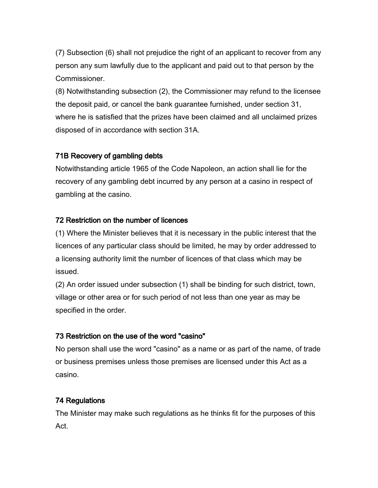(7) Subsection (6) shall not prejudice the right of an applicant to recover from any person any sum lawfully due to the applicant and paid out to that person by the Commissioner.

(8) Notwithstanding subsection (2), the Commissioner may refund to the licensee the deposit paid, or cancel the bank guarantee furnished, under section 31, where he is satisfied that the prizes have been claimed and all unclaimed prizes disposed of in accordance with section 31A.

## 71B Recovery of gambling debts

Notwithstanding article 1965 of the Code Napoleon, an action shall lie for the recovery of any gambling debt incurred by any person at a casino in respect of gambling at the casino.

## 72 Restriction on the number of licences

(1) Where the Minister believes that it is necessary in the public interest that the licences of any particular class should be limited, he may by order addressed to a licensing authority limit the number of licences of that class which may be issued.

(2) An order issued under subsection (1) shall be binding for such district, town, village or other area or for such period of not less than one year as may be specified in the order.

## 73 Restriction on the use of the word "casino"

No person shall use the word "casino" as a name or as part of the name, of trade or business premises unless those premises are licensed under this Act as a casino.

# 74 Regulations

The Minister may make such regulations as he thinks fit for the purposes of this Act.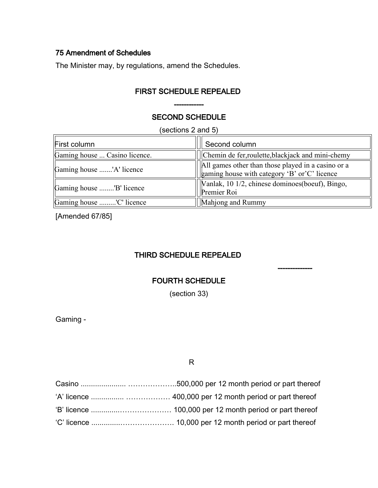## 75 Amendment of Schedules

The Minister may, by regulations, amend the Schedules.

## FIRST SCHEDULE REPEALED

## SECOND SCHEDULE

------------

(sections 2 and 5)

| First column                  | Second column                                                                                      |
|-------------------------------|----------------------------------------------------------------------------------------------------|
| Gaming house  Casino licence. | Chemin de fer, roulette, blackjack and mini-chemy                                                  |
| Gaming house 'A' licence      | All games other than those played in a casino or a<br>gaming house with category 'B' or'C' licence |
| Gaming house "B' licence      | [Vanlak, 10 1/2, chinese dominoes(boeuf), Bingo,<br>Premier Roi                                    |
| Gaming house 'C' licence      | Mahjong and Rummy                                                                                  |

--------------

[Amended 67/85]

# THIRD SCHEDULE REPEALED

### FOURTH SCHEDULE

(section 33)

Gaming -

R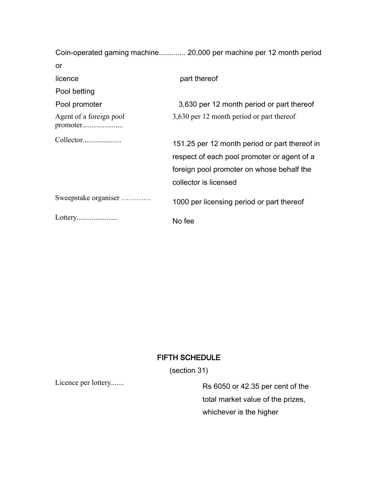|                                     | Coin-operated gaming machine 20,000 per machine per 12 month period                                                                                                |
|-------------------------------------|--------------------------------------------------------------------------------------------------------------------------------------------------------------------|
| or                                  |                                                                                                                                                                    |
| licence                             | part thereof                                                                                                                                                       |
| Pool betting                        |                                                                                                                                                                    |
| Pool promoter                       | 3,630 per 12 month period or part thereof                                                                                                                          |
| Agent of a foreign pool<br>promoter | 3,630 per 12 month period or part thereof                                                                                                                          |
| Collector                           | 151.25 per 12 month period or part thereof in<br>respect of each pool promoter or agent of a<br>foreign pool promoter on whose behalf the<br>collector is licensed |
| Sweepstake organiser                | 1000 per licensing period or part thereof                                                                                                                          |
| Lottery                             | No fee                                                                                                                                                             |

# FIFTH SCHEDULE

(section 31)

Licence per lottery.......<br>Rs 6050 or 42.35 per cent of the total market value of the prizes, whichever is the higher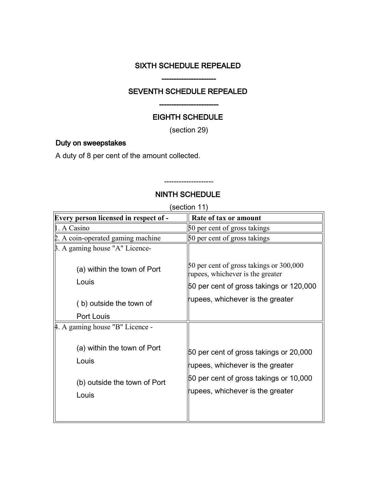## SIXTH SCHEDULE REPEALED

----------------------

## SEVENTH SCHEDULE REPEALED

## EIGHTH SCHEDULE

------------------------

(section 29)

### Duty on sweepstakes

A duty of 8 per cent of the amount collected.

## NINTH SCHEDULE

--------------------

(section 11)

| <b>Every person licensed in respect of -</b>                                  | Rate of tax or amount                                                                                                                                    |
|-------------------------------------------------------------------------------|----------------------------------------------------------------------------------------------------------------------------------------------------------|
| 1. A Casino                                                                   | 50 per cent of gross takings                                                                                                                             |
| 2. A coin-operated gaming machine                                             | 50 per cent of gross takings                                                                                                                             |
| β. A gaming house "A" Licence-                                                |                                                                                                                                                          |
| (a) within the town of Port                                                   | 50 per cent of gross takings or 300,000<br>rupees, whichever is the greater                                                                              |
| Louis                                                                         | 50 per cent of gross takings or 120,000                                                                                                                  |
| (b) outside the town of                                                       | rupees, whichever is the greater                                                                                                                         |
| Port Louis                                                                    |                                                                                                                                                          |
| 4. A gaming house "B" Licence -                                               |                                                                                                                                                          |
| (a) within the town of Port<br>Louis<br>(b) outside the town of Port<br>Louis | 50 per cent of gross takings or 20,000<br>rupees, whichever is the greater<br>50 per cent of gross takings or 10,000<br>rupees, whichever is the greater |